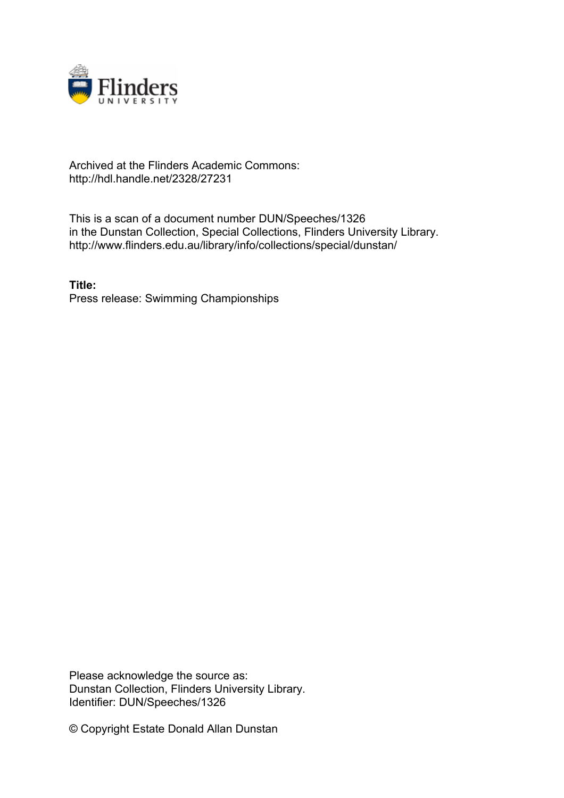

## Archived at the Flinders Academic Commons: http://hdl.handle.net/2328/27231

This is a scan of a document number DUN/Speeches/1326 in the Dunstan Collection, Special Collections, Flinders University Library. http://www.flinders.edu.au/library/info/collections/special/dunstan/

**Title:** Press release: Swimming Championships

Please acknowledge the source as: Dunstan Collection, Flinders University Library. Identifier: DUN/Speeches/1326

© Copyright Estate Donald Allan Dunstan